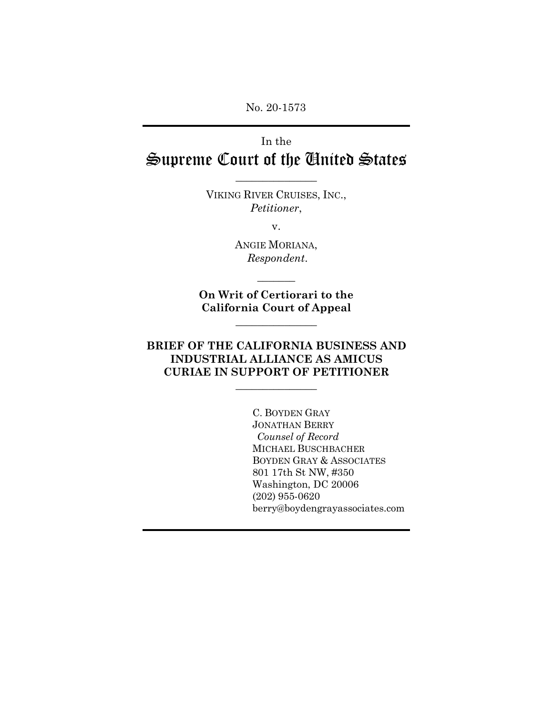No. 20-1573

# In the Supreme Court of the United States

VIKING RIVER CRUISES, INC., *Petitioner*,

 $\frac{1}{2}$ 

v.

ANGIE MORIANA, *Respondent*.

**On Writ of Certiorari to the California Court of Appeal**

 $\overline{\phantom{a}}$  , where  $\overline{\phantom{a}}$ 

 $\overline{\phantom{a}}$ 

# **BRIEF OF THE CALIFORNIA BUSINESS AND INDUSTRIAL ALLIANCE AS AMICUS CURIAE IN SUPPORT OF PETITIONER**

 $\frac{1}{2}$ 

C. BOYDEN GRAY JONATHAN BERRY *Counsel of Record* MICHAEL BUSCHBACHER BOYDEN GRAY & ASSOCIATES 801 17th St NW, #350 Washington, DC 20006 (202) 955-0620 berry@boydengrayassociates.com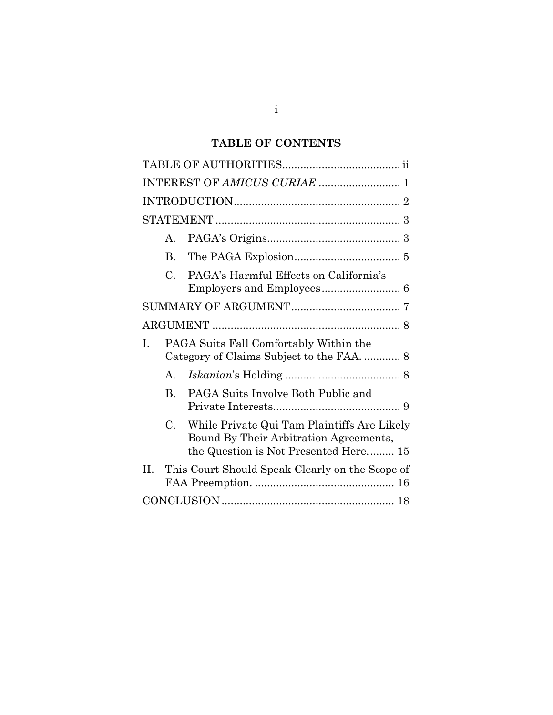# **TABLE OF CONTENTS**

| INTEREST OF AMICUS CURIAE  1 |                |                                                                                                                                |  |  |
|------------------------------|----------------|--------------------------------------------------------------------------------------------------------------------------------|--|--|
|                              |                |                                                                                                                                |  |  |
|                              |                |                                                                                                                                |  |  |
|                              | $\mathsf{A}$ . |                                                                                                                                |  |  |
|                              | <b>B.</b>      |                                                                                                                                |  |  |
|                              | C.             | PAGA's Harmful Effects on California's                                                                                         |  |  |
|                              |                |                                                                                                                                |  |  |
|                              |                |                                                                                                                                |  |  |
| I.                           |                | PAGA Suits Fall Comfortably Within the<br>Category of Claims Subject to the FAA.  8                                            |  |  |
|                              | $A_{\cdot}$    |                                                                                                                                |  |  |
|                              | $\bf{B}$       | PAGA Suits Involve Both Public and                                                                                             |  |  |
|                              | $C_{\cdot}$    | While Private Qui Tam Plaintiffs Are Likely<br>Bound By Their Arbitration Agreements,<br>the Question is Not Presented Here 15 |  |  |
| H.                           |                | This Court Should Speak Clearly on the Scope of                                                                                |  |  |
|                              |                |                                                                                                                                |  |  |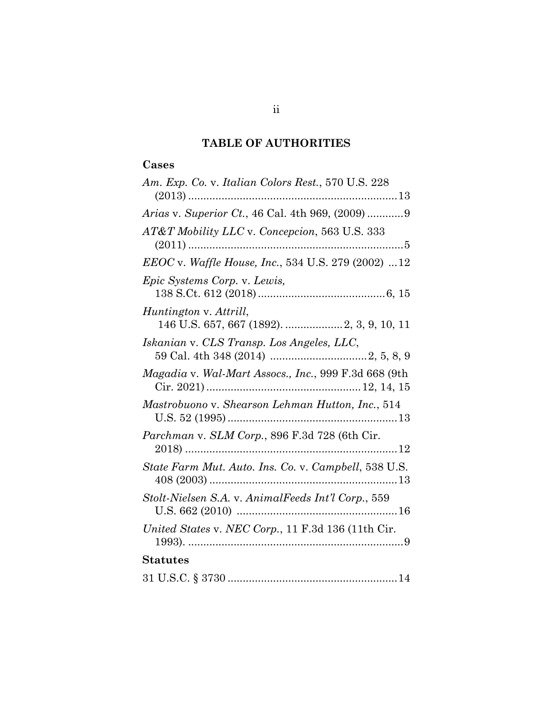# **TABLE OF AUTHORITIES**

# **Cases**

| Am. Exp. Co. v. Italian Colors Rest., 570 U.S. 228   |
|------------------------------------------------------|
| Arias v. Superior Ct., 46 Cal. 4th 969, (2009) 9     |
| AT&T Mobility LLC v. Concepcion, 563 U.S. 333        |
| EEOC v. Waffle House, Inc., 534 U.S. 279 (2002) 12   |
| Epic Systems Corp. v. Lewis,                         |
| Huntington v. Attrill,                               |
| Iskanian v. CLS Transp. Los Angeles, LLC,            |
| Magadia v. Wal-Mart Assocs., Inc., 999 F.3d 668 (9th |
| Mastrobuono v. Shearson Lehman Hutton, Inc., 514     |
| Parchman v. SLM Corp., 896 F.3d 728 (6th Cir.        |
| State Farm Mut. Auto. Ins. Co. v. Campbell, 538 U.S. |
| Stolt-Nielsen S.A. v. AnimalFeeds Int'l Corp., 559   |
| United States v. NEC Corp., 11 F.3d 136 (11th Cir.   |
| <b>Statutes</b>                                      |
|                                                      |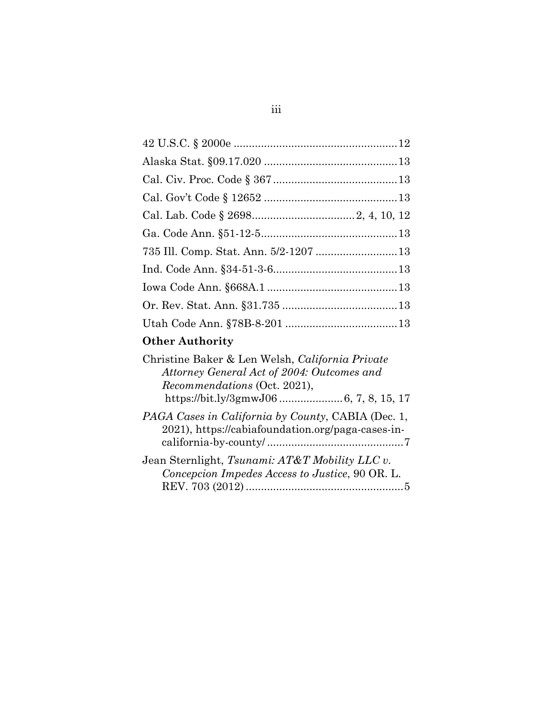# **Other Authority**

| Christine Baker & Len Welsh, California Private<br>Attorney General Act of 2004: Outcomes and<br>Recommendations (Oct. 2021), |
|-------------------------------------------------------------------------------------------------------------------------------|
| PAGA Cases in California by County, CABIA (Dec. 1,<br>2021), https://cabiafoundation.org/paga-cases-in-                       |
| Jean Sternlight, Tsunami: AT&T Mobility LLC v.<br>Concepcion Impedes Access to Justice, 90 OR. L.                             |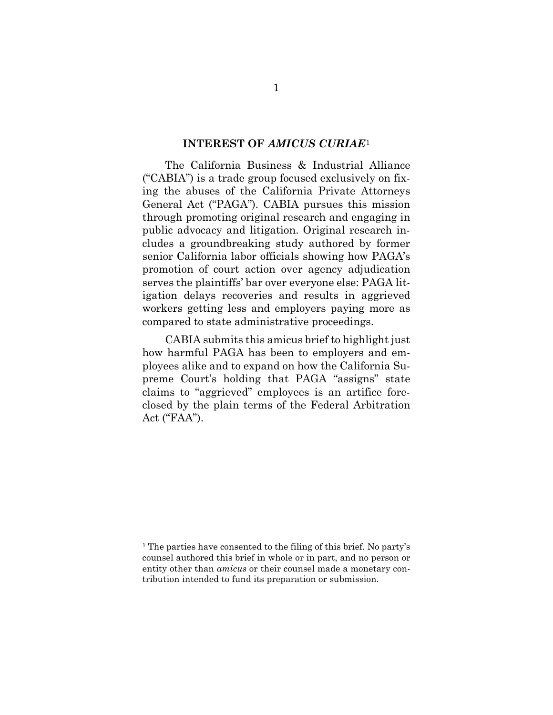#### **INTEREST OF** *AMICUS CURIAE*[1](#page-4-0)

The California Business & Industrial Alliance ("CABIA") is a trade group focused exclusively on fixing the abuses of the California Private Attorneys General Act ("PAGA"). CABIA pursues this mission through promoting original research and engaging in public advocacy and litigation. Original research includes a groundbreaking study authored by former senior California labor officials showing how PAGA's promotion of court action over agency adjudication serves the plaintiffs' bar over everyone else: PAGA litigation delays recoveries and results in aggrieved workers getting less and employers paying more as compared to state administrative proceedings.

CABIA submits this amicus brief to highlight just how harmful PAGA has been to employers and employees alike and to expand on how the California Supreme Court's holding that PAGA "assigns" state claims to "aggrieved" employees is an artifice foreclosed by the plain terms of the Federal Arbitration Act ("FAA").

<span id="page-4-0"></span><sup>1</sup> The parties have consented to the filing of this brief. No party's counsel authored this brief in whole or in part, and no person or entity other than *amicus* or their counsel made a monetary contribution intended to fund its preparation or submission.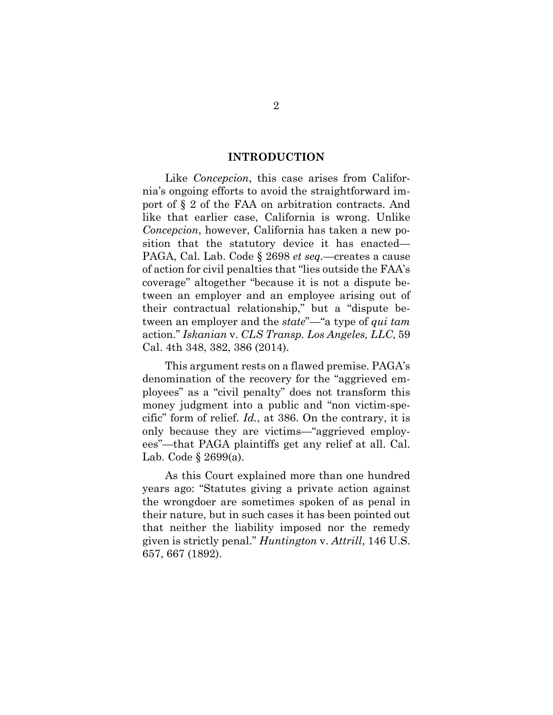#### **INTRODUCTION**

Like *Concepcion*, this case arises from California's ongoing efforts to avoid the straightforward import of § 2 of the FAA on arbitration contracts. And like that earlier case, California is wrong. Unlike *Concepcion*, however, California has taken a new position that the statutory device it has enacted— PAGA, Cal. Lab. Code § 2698 *et seq.*—creates a cause of action for civil penalties that "lies outside the FAA's coverage" altogether "because it is not a dispute between an employer and an employee arising out of their contractual relationship," but a "dispute between an employer and the *state*"—"a type of *qui tam* action." *Iskanian* v. *CLS Transp. Los Angeles, LLC*, 59 Cal. 4th 348, 382, 386 (2014).

This argument rests on a flawed premise. PAGA's denomination of the recovery for the "aggrieved employees" as a "civil penalty" does not transform this money judgment into a public and "non victim-specific" form of relief. *Id.*, at 386. On the contrary, it is only because they are victims—"aggrieved employees"—that PAGA plaintiffs get any relief at all. Cal. Lab. Code § 2699(a).

As this Court explained more than one hundred years ago: "Statutes giving a private action against the wrongdoer are sometimes spoken of as penal in their nature, but in such cases it has been pointed out that neither the liability imposed nor the remedy given is strictly penal." *Huntington* v. *Attrill*, 146 U.S. 657, 667 (1892).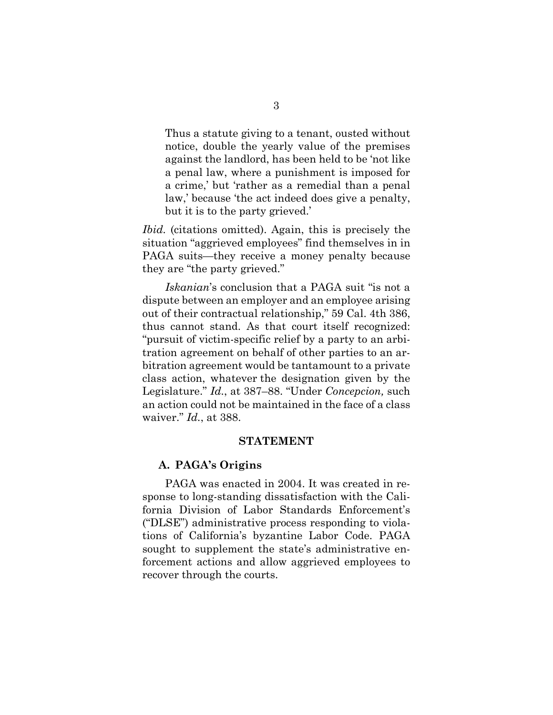Thus a statute giving to a tenant, ousted without notice, double the yearly value of the premises against the landlord, has been held to be 'not like a penal law, where a punishment is imposed for a crime,' but 'rather as a remedial than a penal law,' because 'the act indeed does give a penalty, but it is to the party grieved.'

*Ibid.* (citations omitted). Again, this is precisely the situation "aggrieved employees" find themselves in in PAGA suits—they receive a money penalty because they are "the party grieved."

*Iskanian*'s conclusion that a PAGA suit "is not a dispute between an employer and an employee arising out of their contractual relationship," 59 Cal. 4th 386, thus cannot stand. As that court itself recognized: "pursuit of victim-specific relief by a party to an arbitration agreement on behalf of other parties to an arbitration agreement would be tantamount to a private class action, whatever the designation given by the Legislature." *Id.*, at 387–88. "Under *Concepcion,* such an action could not be maintained in the face of a class waiver." *Id.*, at 388.

#### **STATEMENT**

#### **A. PAGA's Origins**

PAGA was enacted in 2004. It was created in response to long-standing dissatisfaction with the California Division of Labor Standards Enforcement's ("DLSE") administrative process responding to violations of California's byzantine Labor Code. PAGA sought to supplement the state's administrative enforcement actions and allow aggrieved employees to recover through the courts.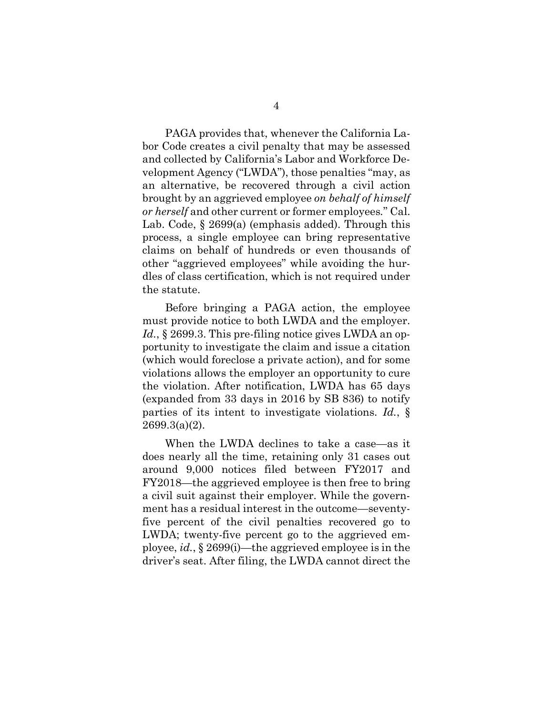PAGA provides that, whenever the California Labor Code creates a civil penalty that may be assessed and collected by California's Labor and Workforce Development Agency ("LWDA"), those penalties "may, as an alternative, be recovered through a civil action brought by an aggrieved employee *on behalf of himself or herself* and other current or former employees*.*" Cal. Lab. Code, § 2699(a) (emphasis added). Through this process, a single employee can bring representative claims on behalf of hundreds or even thousands of other "aggrieved employees" while avoiding the hurdles of class certification, which is not required under the statute.

Before bringing a PAGA action, the employee must provide notice to both LWDA and the employer. *Id.*, § 2699.3. This pre-filing notice gives LWDA an opportunity to investigate the claim and issue a citation (which would foreclose a private action), and for some violations allows the employer an opportunity to cure the violation. After notification, LWDA has 65 days (expanded from 33 days in 2016 by SB 836) to notify parties of its intent to investigate violations. *Id.*, § 2699.3(a)(2).

When the LWDA declines to take a case—as it does nearly all the time, retaining only 31 cases out around 9,000 notices filed between FY2017 and FY2018—the aggrieved employee is then free to bring a civil suit against their employer. While the government has a residual interest in the outcome—seventyfive percent of the civil penalties recovered go to LWDA; twenty-five percent go to the aggrieved employee, *id.*, § 2699(i)—the aggrieved employee is in the driver's seat. After filing, the LWDA cannot direct the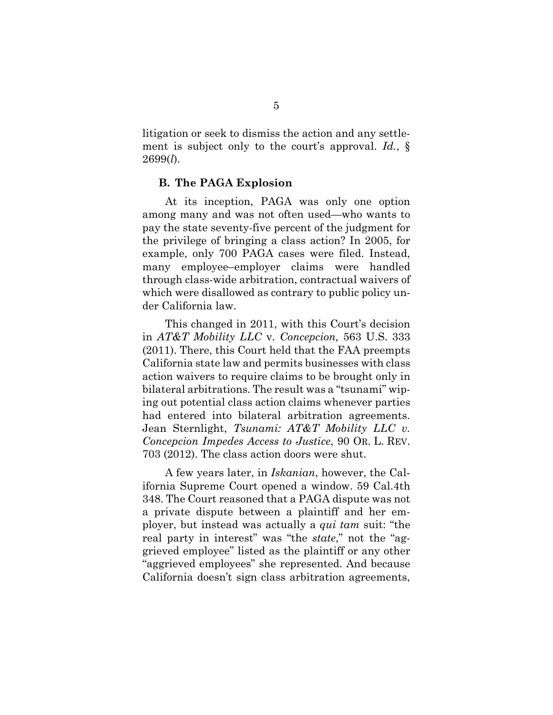litigation or seek to dismiss the action and any settlement is subject only to the court's approval. *Id.*, § 2699(*l*).

#### **B. The PAGA Explosion**

At its inception, PAGA was only one option among many and was not often used—who wants to pay the state seventy-five percent of the judgment for the privilege of bringing a class action? In 2005, for example, only 700 PAGA cases were filed. Instead, many employee–employer claims were handled through class-wide arbitration, contractual waivers of which were disallowed as contrary to public policy under California law.

This changed in 2011, with this Court's decision in *AT&T Mobility LLC* v. *Concepcion,* 563 U.S. 333 (2011). There, this Court held that the FAA preempts California state law and permits businesses with class action waivers to require claims to be brought only in bilateral arbitrations. The result was a "tsunami" wiping out potential class action claims whenever parties had entered into bilateral arbitration agreements. Jean Sternlight, *Tsunami: AT&T Mobility LLC v. Concepcion Impedes Access to Justice*, 90 OR. L. REV. 703 (2012). The class action doors were shut.

A few years later, in *Iskanian*, however, the California Supreme Court opened a window. 59 Cal.4th 348. The Court reasoned that a PAGA dispute was not a private dispute between a plaintiff and her employer, but instead was actually a *qui tam* suit: "the real party in interest" was "the *state*," not the "aggrieved employee" listed as the plaintiff or any other "aggrieved employees" she represented. And because California doesn't sign class arbitration agreements,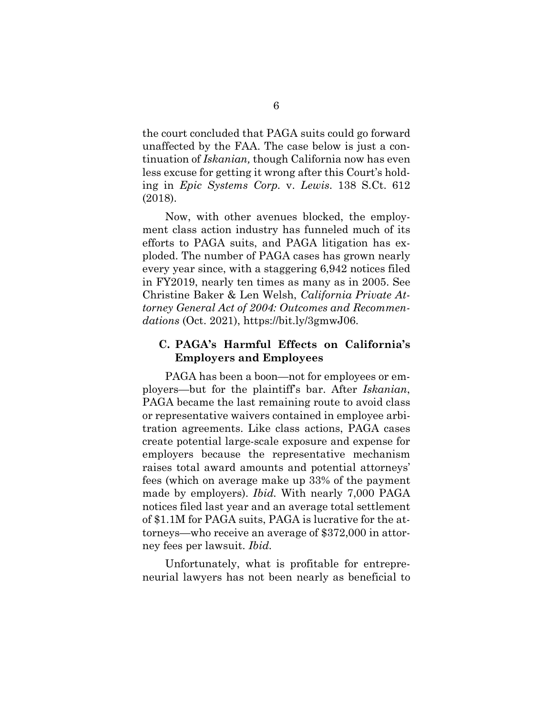the court concluded that PAGA suits could go forward unaffected by the FAA. The case below is just a continuation of *Iskanian,* though California now has even less excuse for getting it wrong after this Court's holding in *Epic Systems Corp.* v. *Lewis*. 138 S.Ct. 612 (2018).

Now, with other avenues blocked, the employment class action industry has funneled much of its efforts to PAGA suits, and PAGA litigation has exploded. The number of PAGA cases has grown nearly every year since, with a staggering 6,942 notices filed in FY2019, nearly ten times as many as in 2005. See Christine Baker & Len Welsh, *California Private Attorney General Act of 2004: Outcomes and Recommendations* (Oct. 2021), https://bit.ly/3gmwJ06.

## **C. PAGA's Harmful Effects on California's Employers and Employees**

PAGA has been a boon—not for employees or employers—but for the plaintiff's bar. After *Iskanian*, PAGA became the last remaining route to avoid class or representative waivers contained in employee arbitration agreements. Like class actions, PAGA cases create potential large-scale exposure and expense for employers because the representative mechanism raises total award amounts and potential attorneys' fees (which on average make up 33% of the payment made by employers). *Ibid.* With nearly 7,000 PAGA notices filed last year and an average total settlement of \$1.1M for PAGA suits, PAGA is lucrative for the attorneys—who receive an average of \$372,000 in attorney fees per lawsuit. *Ibid.*

Unfortunately, what is profitable for entrepreneurial lawyers has not been nearly as beneficial to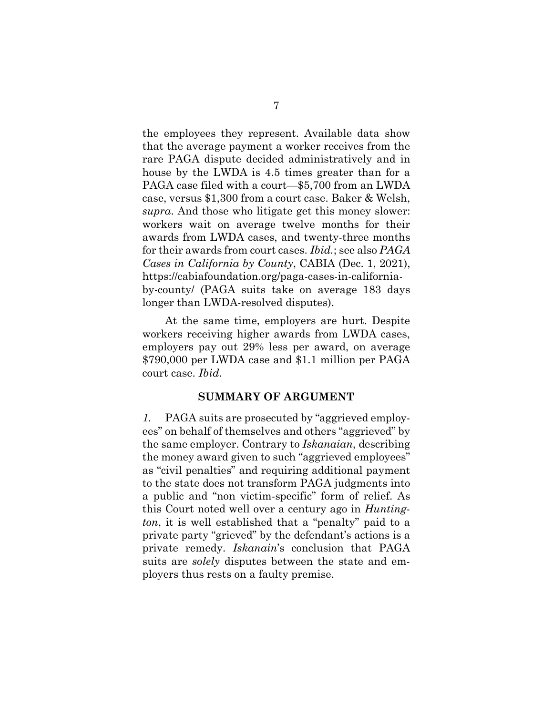the employees they represent. Available data show that the average payment a worker receives from the rare PAGA dispute decided administratively and in house by the LWDA is 4.5 times greater than for a PAGA case filed with a court—\$5,700 from an LWDA case, versus \$1,300 from a court case. Baker & Welsh, *supra*. And those who litigate get this money slower: workers wait on average twelve months for their awards from LWDA cases, and twenty-three months for their awards from court cases. *Ibid.*; see also *PAGA Cases in California by County*, CABIA (Dec. 1, 2021), https://cabiafoundation.org/paga-cases-in-californiaby-county/ (PAGA suits take on average 183 days longer than LWDA-resolved disputes).

At the same time, employers are hurt. Despite workers receiving higher awards from LWDA cases, employers pay out 29% less per award, on average \$790,000 per LWDA case and \$1.1 million per PAGA court case. *Ibid.*

### **SUMMARY OF ARGUMENT**

*1.* PAGA suits are prosecuted by "aggrieved employees" on behalf of themselves and others "aggrieved" by the same employer. Contrary to *Iskanaian*, describing the money award given to such "aggrieved employees" as "civil penalties" and requiring additional payment to the state does not transform PAGA judgments into a public and "non victim-specific" form of relief. As this Court noted well over a century ago in *Huntington*, it is well established that a "penalty" paid to a private party "grieved" by the defendant's actions is a private remedy. *Iskanain*'s conclusion that PAGA suits are *solely* disputes between the state and employers thus rests on a faulty premise.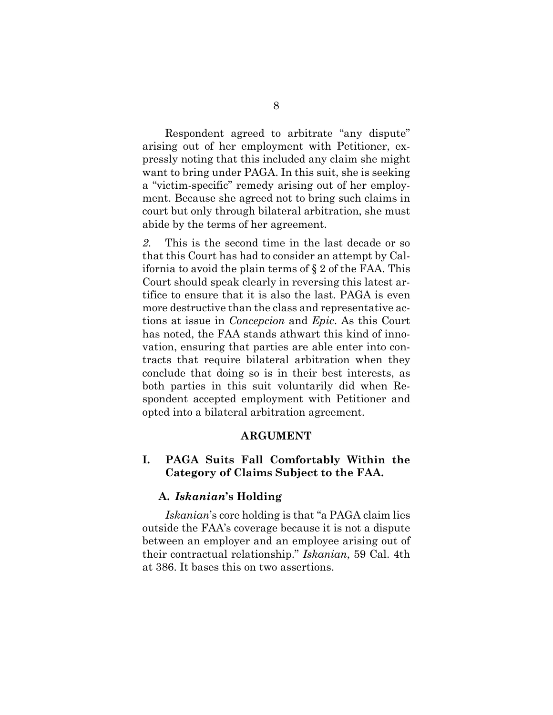Respondent agreed to arbitrate "any dispute" arising out of her employment with Petitioner, expressly noting that this included any claim she might want to bring under PAGA. In this suit, she is seeking a "victim-specific" remedy arising out of her employment. Because she agreed not to bring such claims in court but only through bilateral arbitration, she must abide by the terms of her agreement.

*2.* This is the second time in the last decade or so that this Court has had to consider an attempt by California to avoid the plain terms of  $\S 2$  of the FAA. This Court should speak clearly in reversing this latest artifice to ensure that it is also the last. PAGA is even more destructive than the class and representative actions at issue in *Concepcion* and *Epic*. As this Court has noted, the FAA stands athwart this kind of innovation, ensuring that parties are able enter into contracts that require bilateral arbitration when they conclude that doing so is in their best interests, as both parties in this suit voluntarily did when Respondent accepted employment with Petitioner and opted into a bilateral arbitration agreement.

#### **ARGUMENT**

# **I. PAGA Suits Fall Comfortably Within the Category of Claims Subject to the FAA.**

#### **A.** *Iskanian***'s Holding**

*Iskanian*'s core holding is that "a PAGA claim lies outside the FAA's coverage because it is not a dispute between an employer and an employee arising out of their contractual relationship." *Iskanian*, 59 Cal. 4th at 386. It bases this on two assertions.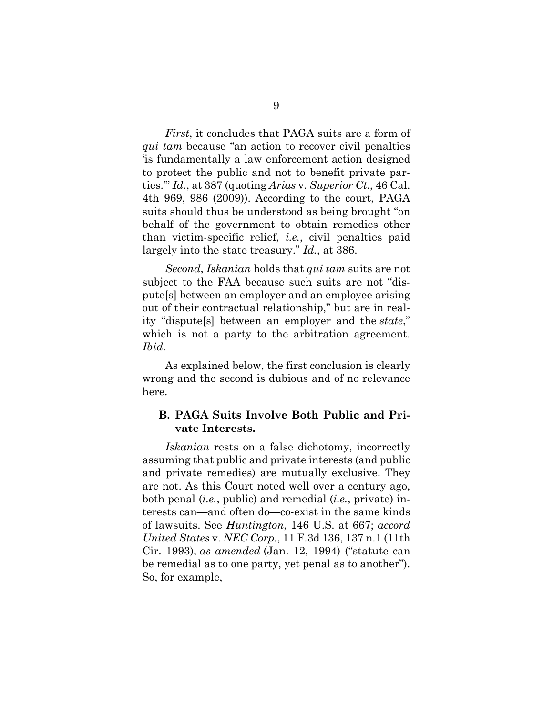*First*, it concludes that PAGA suits are a form of *qui tam* because "an action to recover civil penalties 'is fundamentally a law enforcement action designed to protect the public and not to benefit private parties.'" *Id.*, at 387 (quoting *Arias* v. *Superior Ct.*, 46 Cal. 4th 969, 986 (2009)). According to the court, PAGA suits should thus be understood as being brought "on behalf of the government to obtain remedies other than victim-specific relief, *i.e.*, civil penalties paid largely into the state treasury." *Id.*, at 386.

*Second*, *Iskanian* holds that *qui tam* suits are not subject to the FAA because such suits are not "dispute[s] between an employer and an employee arising out of their contractual relationship," but are in reality "dispute[s] between an employer and the *state*," which is not a party to the arbitration agreement. *Ibid.*

As explained below, the first conclusion is clearly wrong and the second is dubious and of no relevance here.

### **B. PAGA Suits Involve Both Public and Private Interests.**

*Iskanian* rests on a false dichotomy, incorrectly assuming that public and private interests (and public and private remedies) are mutually exclusive. They are not. As this Court noted well over a century ago, both penal (*i.e.*, public) and remedial (*i.e.*, private) interests can—and often do—co-exist in the same kinds of lawsuits. See *Huntington*, 146 U.S. at 667; *accord United States* v. *NEC Corp.*, 11 F.3d 136, 137 n.1 (11th Cir. 1993), *as amended* (Jan. 12, 1994) ("statute can be remedial as to one party, yet penal as to another"). So, for example,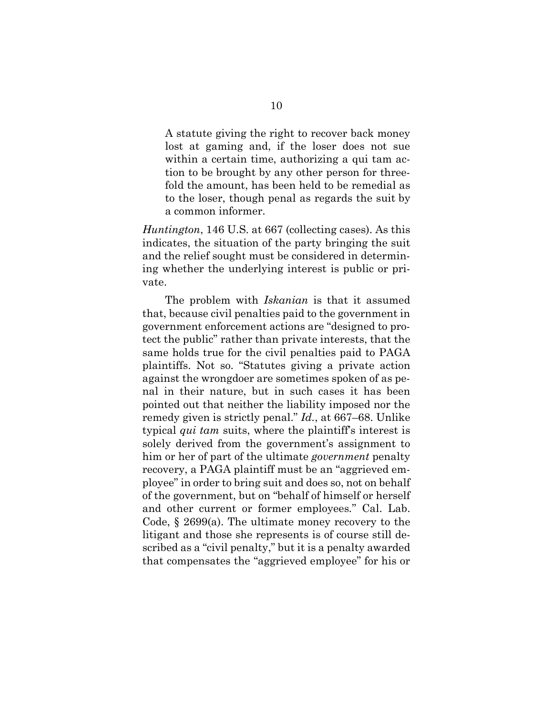A statute giving the right to recover back money lost at gaming and, if the loser does not sue within a certain time, authorizing a qui tam action to be brought by any other person for threefold the amount, has been held to be remedial as to the loser, though penal as regards the suit by a common informer.

*Huntington*, 146 U.S. at 667 (collecting cases). As this indicates, the situation of the party bringing the suit and the relief sought must be considered in determining whether the underlying interest is public or private.

The problem with *Iskanian* is that it assumed that, because civil penalties paid to the government in government enforcement actions are "designed to protect the public" rather than private interests, that the same holds true for the civil penalties paid to PAGA plaintiffs. Not so. "Statutes giving a private action against the wrongdoer are sometimes spoken of as penal in their nature, but in such cases it has been pointed out that neither the liability imposed nor the remedy given is strictly penal." *Id.*, at 667–68. Unlike typical *qui tam* suits, where the plaintiff's interest is solely derived from the government's assignment to him or her of part of the ultimate *government* penalty recovery, a PAGA plaintiff must be an "aggrieved employee" in order to bring suit and does so, not on behalf of the government, but on "behalf of himself or herself and other current or former employees*.*" Cal. Lab. Code, § 2699(a). The ultimate money recovery to the litigant and those she represents is of course still described as a "civil penalty," but it is a penalty awarded that compensates the "aggrieved employee" for his or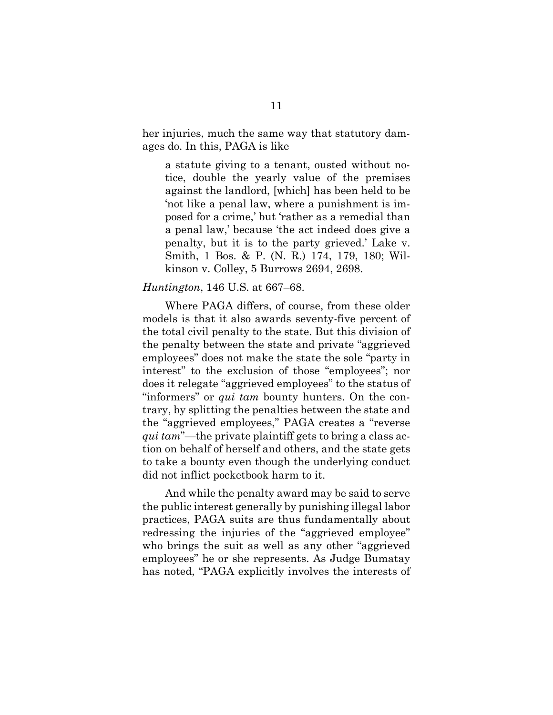her injuries, much the same way that statutory damages do. In this, PAGA is like

a statute giving to a tenant, ousted without notice, double the yearly value of the premises against the landlord, [which] has been held to be 'not like a penal law, where a punishment is imposed for a crime,' but 'rather as a remedial than a penal law,' because 'the act indeed does give a penalty, but it is to the party grieved.' Lake v. Smith, 1 Bos. & P. (N. R.) 174, 179, 180; Wilkinson v. Colley, 5 Burrows 2694, 2698.

#### *Huntington*, 146 U.S. at 667–68.

Where PAGA differs, of course, from these older models is that it also awards seventy-five percent of the total civil penalty to the state. But this division of the penalty between the state and private "aggrieved employees" does not make the state the sole "party in interest" to the exclusion of those "employees"; nor does it relegate "aggrieved employees" to the status of "informers" or *qui tam* bounty hunters. On the contrary, by splitting the penalties between the state and the "aggrieved employees," PAGA creates a "reverse *qui tam*"—the private plaintiff gets to bring a class action on behalf of herself and others, and the state gets to take a bounty even though the underlying conduct did not inflict pocketbook harm to it.

And while the penalty award may be said to serve the public interest generally by punishing illegal labor practices, PAGA suits are thus fundamentally about redressing the injuries of the "aggrieved employee" who brings the suit as well as any other "aggrieved employees" he or she represents. As Judge Bumatay has noted, "PAGA explicitly involves the interests of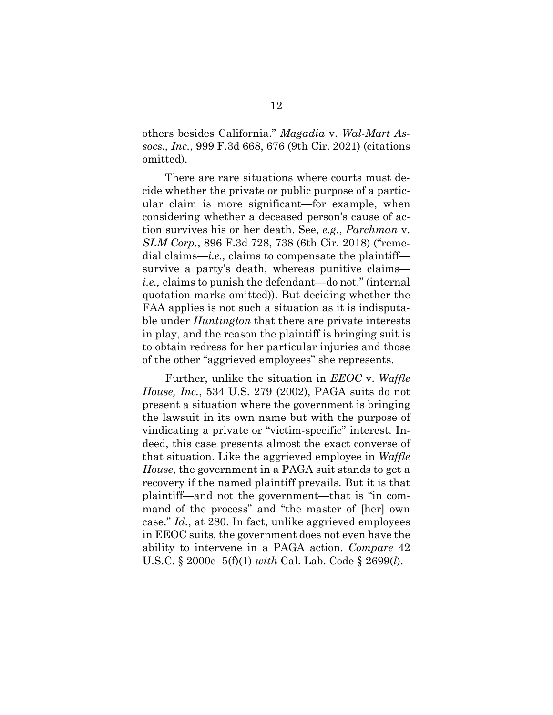others besides California." *Magadia* v. *Wal-Mart Assocs., Inc.*, 999 F.3d 668, 676 (9th Cir. 2021) (citations omitted).

There are rare situations where courts must decide whether the private or public purpose of a particular claim is more significant—for example, when considering whether a deceased person's cause of action survives his or her death. See, *e.g.*, *Parchman* v. *SLM Corp.*, 896 F.3d 728, 738 (6th Cir. 2018) ("remedial claims—*i.e.,* claims to compensate the plaintiff survive a party's death, whereas punitive claims *i.e.,* claims to punish the defendant—do not." (internal quotation marks omitted)). But deciding whether the FAA applies is not such a situation as it is indisputable under *Huntington* that there are private interests in play, and the reason the plaintiff is bringing suit is to obtain redress for her particular injuries and those of the other "aggrieved employees" she represents.

Further, unlike the situation in *EEOC* v. *Waffle House, Inc.*, 534 U.S. 279 (2002), PAGA suits do not present a situation where the government is bringing the lawsuit in its own name but with the purpose of vindicating a private or "victim-specific" interest. Indeed, this case presents almost the exact converse of that situation. Like the aggrieved employee in *Waffle House*, the government in a PAGA suit stands to get a recovery if the named plaintiff prevails. But it is that plaintiff—and not the government—that is "in command of the process" and "the master of [her] own case." *Id.*, at 280. In fact, unlike aggrieved employees in EEOC suits, the government does not even have the ability to intervene in a PAGA action. *Compare* [42](https://1.next.westlaw.com/Link/Document/FullText?findType=L&pubNum=1000546&cite=42USCAS2000E-5&originatingDoc=I318a71ea9c2511d9bdd1cfdd544ca3a4&refType=RB&originationContext=document&transitionType=DocumentItem&ppcid=3ebfa31898904c2faef76f785259e5a5&contextData=(sc.DocLink)#co_pp_9daf00009de57) U.S.C. § [2000e–5\(f\)\(1\)](https://1.next.westlaw.com/Link/Document/FullText?findType=L&pubNum=1000546&cite=42USCAS2000E-5&originatingDoc=I318a71ea9c2511d9bdd1cfdd544ca3a4&refType=RB&originationContext=document&transitionType=DocumentItem&ppcid=3ebfa31898904c2faef76f785259e5a5&contextData=(sc.DocLink)#co_pp_9daf00009de57) *with* Cal. Lab. Code § 2699(*l*).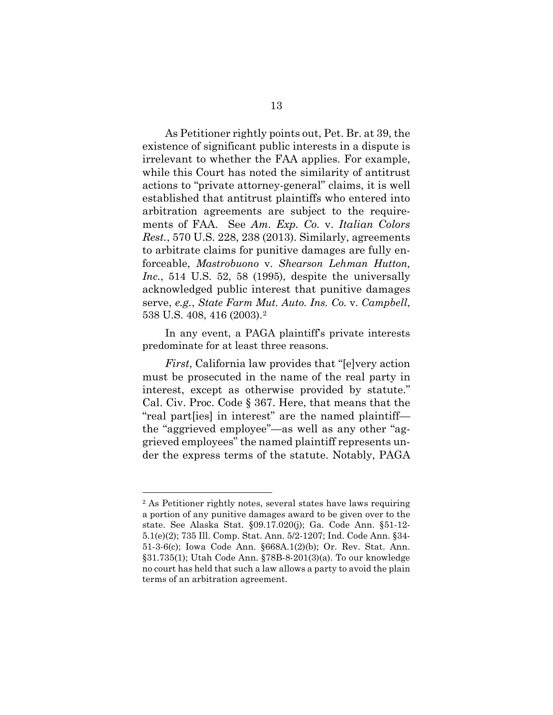As Petitioner rightly points out, Pet. Br. at 39, the existence of significant public interests in a dispute is irrelevant to whether the FAA applies. For example, while this Court has noted the similarity of antitrust actions to "private attorney-general" claims, it is well established that antitrust plaintiffs who entered into arbitration agreements are subject to the requirements of FAA. See *Am. Exp. Co.* v. *Italian Colors Rest.*, 570 U.S. 228, 238 (2013). Similarly, agreements to arbitrate claims for punitive damages are fully enforceable, *Mastrobuono* v. *Shearson Lehman Hutton, Inc.*, 514 U.S. 52, 58 (1995), despite the universally acknowledged public interest that punitive damages serve, *e.g.*, *State Farm Mut. Auto. Ins. Co.* v. *Campbell*, 538 U.S. 408, 416 (2003).[2](#page-16-0)

In any event, a PAGA plaintiff's private interests predominate for at least three reasons.

*First*, California law provides that "[e]very action must be prosecuted in the name of the real party in interest, except as otherwise provided by statute." Cal. Civ. Proc. Code § 367. Here, that means that the "real part[ies] in interest" are the named plaintiff the "aggrieved employee"—as well as any other "aggrieved employees" the named plaintiff represents under the express terms of the statute. Notably, PAGA

<span id="page-16-0"></span><sup>2</sup> As Petitioner rightly notes, several states have laws requiring a portion of any punitive damages award to be given over to the state. See Alaska Stat. §09.17.020(j); Ga. Code Ann. §51-12- 5.1(e)(2); 735 Ill. Comp. Stat. Ann. 5/2-1207; Ind. Code Ann. §34- 51-3-6(c); Iowa Code Ann. §668A.1(2)(b); Or. Rev. Stat. Ann. §31.735(1); Utah Code Ann. §78B-8-201(3)(a). To our knowledge no court has held that such a law allows a party to avoid the plain terms of an arbitration agreement.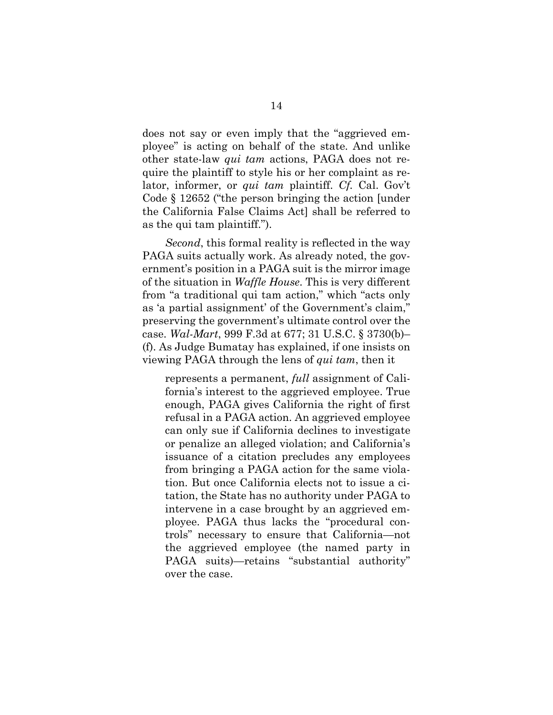does not say or even imply that the "aggrieved employee" is acting on behalf of the state. And unlike other state-law *qui tam* actions, PAGA does not require the plaintiff to style his or her complaint as relator, informer, or *qui tam* plaintiff. *Cf.* Cal. Gov't Code § 12652 ("the person bringing the action [under the California False Claims Act] shall be referred to as the qui tam plaintiff.").

*Second*, this formal reality is reflected in the way PAGA suits actually work. As already noted, the government's position in a PAGA suit is the mirror image of the situation in *Waffle House*. This is very different from "a traditional qui tam action," which "acts only as 'a partial assignment' of the Government's claim," preserving the government's ultimate control over the case. *Wal-Mart*, 999 F.3d at 677; 31 U.S.C. § 3730(b)– (f). As Judge Bumatay has explained, if one insists on viewing PAGA through the lens of *qui tam*, then it

represents a permanent, *full* assignment of California's interest to the aggrieved employee. True enough, PAGA gives California the right of first refusal in a PAGA action. An aggrieved employee can only sue if California declines to investigate or penalize an alleged violation; and California's issuance of a citation precludes any employees from bringing a PAGA action for the same violation. But once California elects not to issue a citation, the State has no authority under PAGA to intervene in a case brought by an aggrieved employee. PAGA thus lacks the "procedural controls" necessary to ensure that California—not the aggrieved employee (the named party in PAGA suits)—retains "substantial authority" over the case.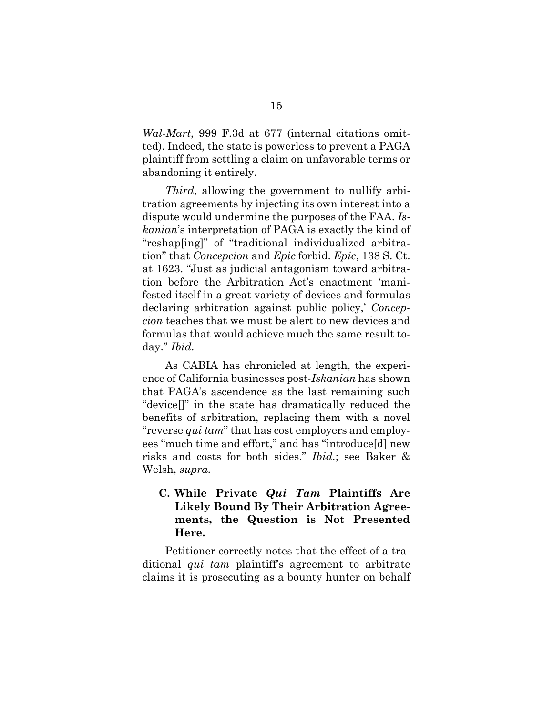*Wal-Mart*, 999 F.3d at 677 (internal citations omitted). Indeed, the state is powerless to prevent a PAGA plaintiff from settling a claim on unfavorable terms or abandoning it entirely.

*Third*, allowing the government to nullify arbitration agreements by injecting its own interest into a dispute would undermine the purposes of the FAA. *Iskanian*'s interpretation of PAGA is exactly the kind of "reshap[ing]" of "traditional individualized arbitration" that *Concepcion* and *Epic* forbid. *Epic*, 138 S. Ct. at 1623. "Just as judicial antagonism toward arbitration before the Arbitration Act's enactment 'manifested itself in a great variety of devices and formulas declaring arbitration against public policy,' *Concepcion* teaches that we must be alert to new devices and formulas that would achieve much the same result today." *Ibid.*

As CABIA has chronicled at length, the experience of California businesses post-*Iskanian* has shown that PAGA's ascendence as the last remaining such "device[]" in the state has dramatically reduced the benefits of arbitration, replacing them with a novel "reverse *qui tam*" that has cost employers and employees "much time and effort," and has "introduce[d] new risks and costs for both sides." *Ibid.*; see Baker & Welsh, *supra.*

# **C. While Private** *Qui Tam* **Plaintiffs Are Likely Bound By Their Arbitration Agreements, the Question is Not Presented Here.**

Petitioner correctly notes that the effect of a traditional *qui tam* plaintiff's agreement to arbitrate claims it is prosecuting as a bounty hunter on behalf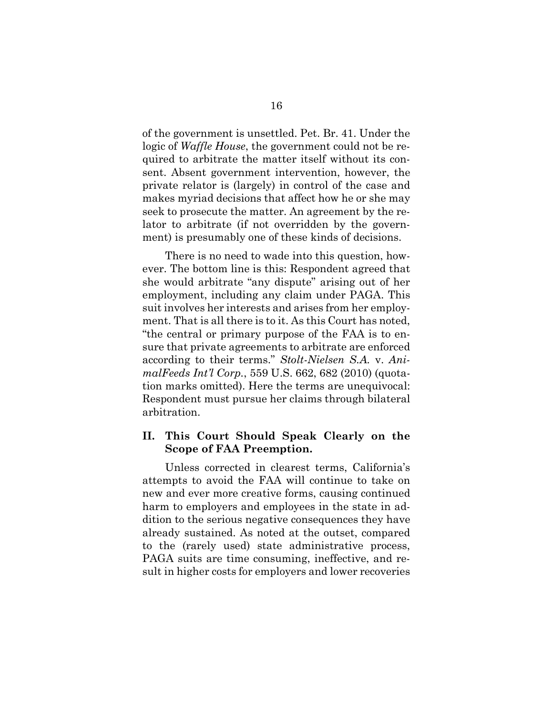of the government is unsettled. Pet. Br. 41. Under the logic of *Waffle House*, the government could not be required to arbitrate the matter itself without its consent. Absent government intervention, however, the private relator is (largely) in control of the case and makes myriad decisions that affect how he or she may seek to prosecute the matter. An agreement by the relator to arbitrate (if not overridden by the government) is presumably one of these kinds of decisions.

There is no need to wade into this question, however. The bottom line is this: Respondent agreed that she would arbitrate "any dispute" arising out of her employment, including any claim under PAGA. This suit involves her interests and arises from her employment. That is all there is to it. As this Court has noted, "the central or primary purpose of the FAA is to ensure that private agreements to arbitrate are enforced according to their terms." *Stolt-Nielsen S.A.* v. *AnimalFeeds Int'l Corp.*, 559 U.S. 662, 682 (2010) (quotation marks omitted). Here the terms are unequivocal: Respondent must pursue her claims through bilateral arbitration.

## **II. This Court Should Speak Clearly on the Scope of FAA Preemption.**

Unless corrected in clearest terms, California's attempts to avoid the FAA will continue to take on new and ever more creative forms, causing continued harm to employers and employees in the state in addition to the serious negative consequences they have already sustained. As noted at the outset, compared to the (rarely used) state administrative process, PAGA suits are time consuming, ineffective, and result in higher costs for employers and lower recoveries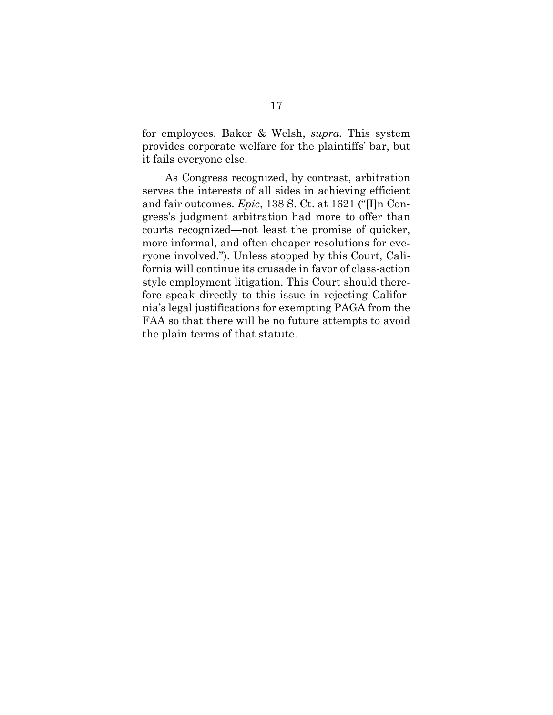for employees. Baker & Welsh, *supra.* This system provides corporate welfare for the plaintiffs' bar, but it fails everyone else.

As Congress recognized, by contrast, arbitration serves the interests of all sides in achieving efficient and fair outcomes. *Epic*, 138 S. Ct. at 1621 ("[I]n Congress's judgment arbitration had more to offer than courts recognized—not least the promise of quicker, more informal, and often cheaper resolutions for everyone involved."). Unless stopped by this Court, California will continue its crusade in favor of class-action style employment litigation. This Court should therefore speak directly to this issue in rejecting California's legal justifications for exempting PAGA from the FAA so that there will be no future attempts to avoid the plain terms of that statute.